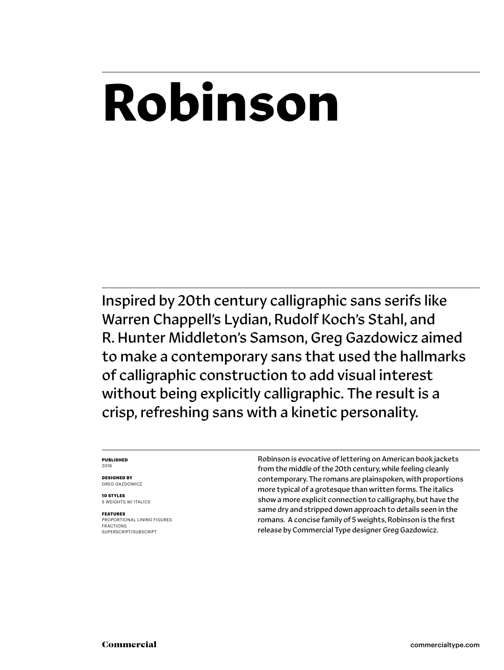## **Robinson**

Inspired by 20th century calligraphic sans serifs like Warren Chappell's Lydian, Rudolf Koch's Stahl, and R. Hunter Middleton's Samson, Greg Gazdowicz aimed to make a contemporary sans that used the hallmarks of calligraphic construction to add visual interest without being explicitly calligraphic. The result is a crisp, refreshing sans with a kinetic personality.

### **PUBLISHED** 2016

**DESIGNED BY** GREG GAZDOWICZ

**10 STYLES** 5 WEIGHTS W/ ITALICS

**FEATURES** PROPORTIONAL LINING FIGURES FRACTIONS SUPERSCRIPT/SUBSCRIPT

Robinson is evocative of lettering on American book jackets from the middle of the 20th century, while feeling cleanly contemporary. The romans are plainspoken, with proportions more typical of a grotesque than written forms. The italics show a more explicit connection to calligraphy, but have the same dry and stripped down approach to details seen in the romans. A concise family of 5 weights, Robinson is the first release by Commercial Type designer Greg Gazdowicz.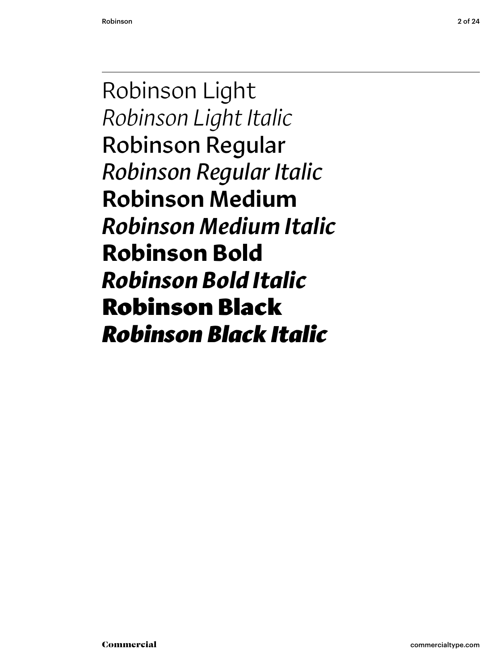Robinson Light *Robinson Light Italic* Robinson Regular *Robinson Regular Italic* Robinson Medium *Robinson Medium Italic* **Robinson Bold** *Robinson Bold Italic* Robinson Black *Robinson Black Italic*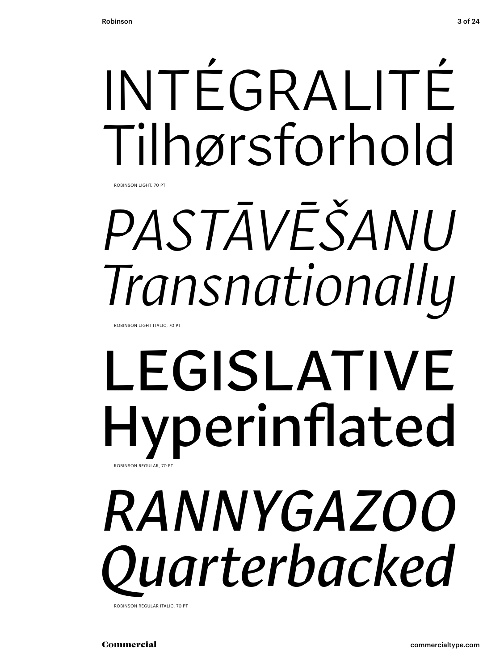

# *PASTĀVĒŠANU Transnationally*

ROBINSON LIGHT ITALIC, 70 PT

### LEGISLATIVE Hyperinflated ROBINSON REGULAR, 70 PT

## *RANNYGAZOO* **uarterbacked**

ROBINSON REGULAR ITALIC, 70 PT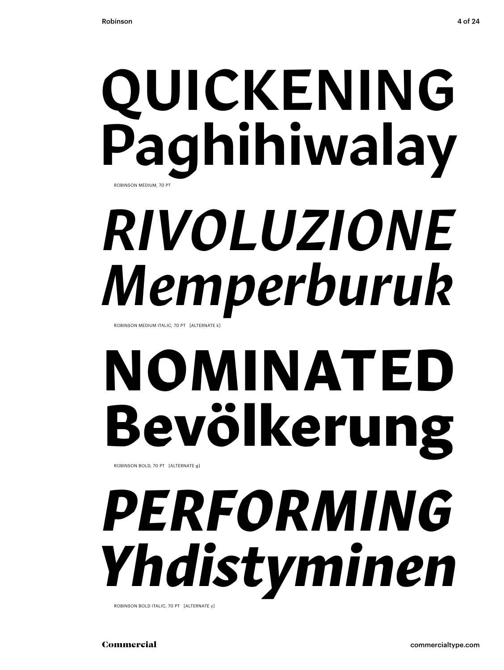### QUICKENING Paghihiwalay ROBINSON MEDIUM, 70 PT

## *RIVOLUZIONE Memperburuk*

ROBINSON MEDIUM ITALIC, 70 PT [ALTERNATE k]

# **NOMINATED Bevölkerung**

ROBINSON BOLD, 70 PT [ALTERNATE g]

# *PERFORMING Yhdistyminen*

ROBINSON BOLD ITALIC, 70 PT [ALTERNATE y]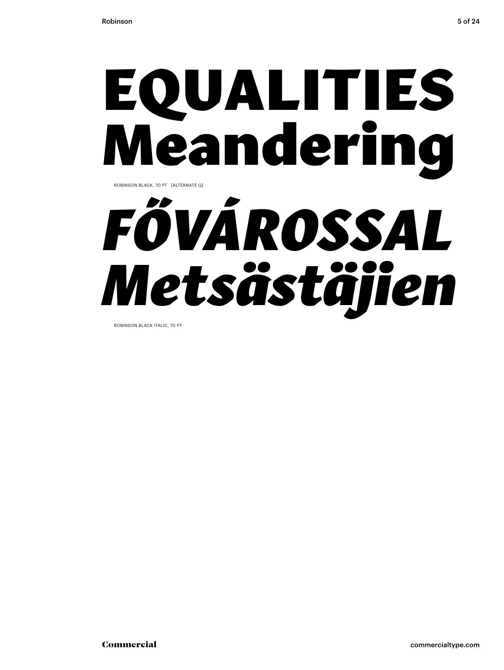### EQUALITIES **leandering** ROBINSON BLACK, 70 PT [ALTERNATE Q]



ROBINSON BLACK ITALIC, 70 PT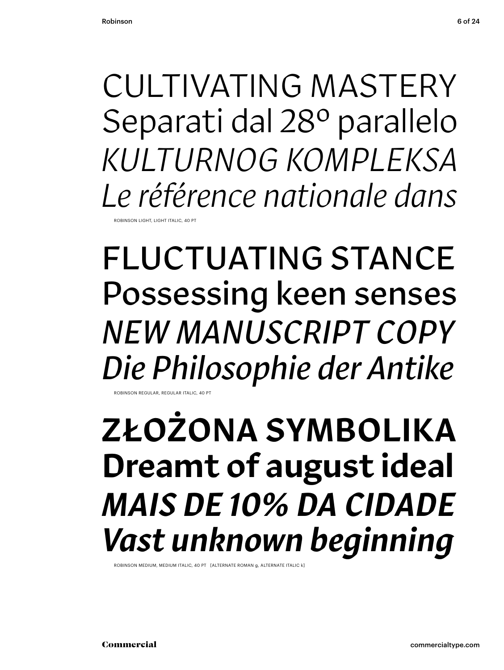CULTIVATING MASTERY Separati dal 28º parallelo *KULTURNOG KOMPLEKSA Le référence nationale dans*

ROBINSON LIGHT, LIGHT ITALIC

FLUCTUATING STANCE Possessing keen senses *NEW MANUSCRIPT COPY Die Philosophie der Antike* ROBINSON REGULAR, REGULAR ITALIC, 40 PT

ZŁOŻONA SYMBOLIKA Dreamt of august ideal *MAIS DE 10% DA CIDADE Vast unknown beginning*

ROBINSON MEDIUM, MEDIUM ITALIC, 40 PT [ALTERNATE ROMAN g, ALTERNATE ITALIC k]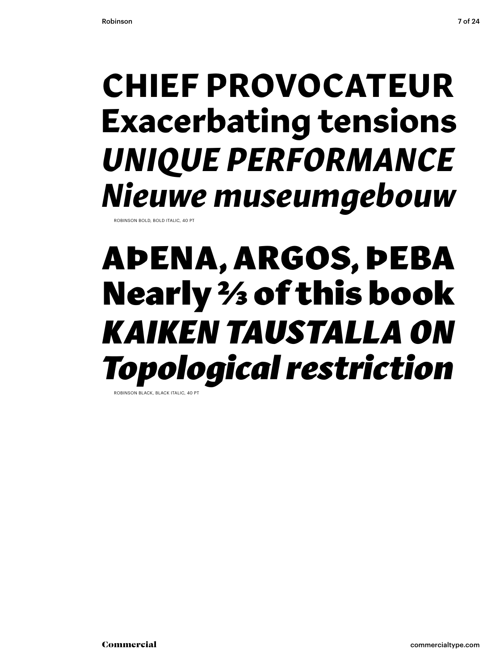### **CHIEF PROVOCATEUR Exacerbating tensions** *UNIQUE PERFORMANCE Nieuwe museumgebouw*

ROBINSON BOLD, BOLD ITALIC, 40

### AÞENA, ARGOS, ÞEBA Nearly 2/3 of this book *KAIKEN TAUSTALLA ON Topological restriction* ROBINSON BLACK, BLACK ITALIC, 40 PT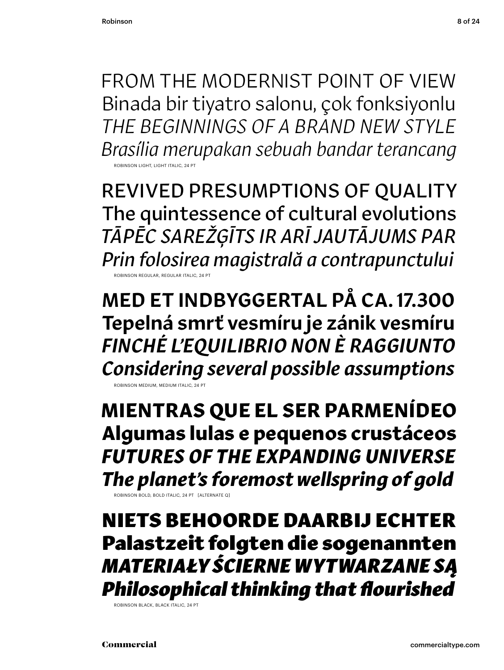FROM THE MODERNIST POINT OF VIEW Binada bir tiyatro salonu, çok fonksiyonlu *THE BEGINNINGS OF A BRAND NEW STYLE Brasília merupakan sebuah bandar terancang* ROBINSON LIGHT, LIGHT ITALIC, 24 PT

REVIVED PRESUMPTIONS OF QUALITY The quintessence of cultural evolutions *TĀPĒC SAREŽĢĪTS IR ARĪ JAUTĀJUMS PAR Prin folosirea magistrală a contrapunctului* ROBINSON REGULAR, REGULAR ITALIC, 24 PT

MED ET INDBYGGERTAL PÅ CA. 17.300 Tepelná smrť vesmíru je zánik vesmíru *FINCHÉ L'EQUILIBRIO NON È RAGGIUNTO Considering several possible assumptions*

ROBINSON MEDIUM, MEDIUM ITALIC, 24 PT

**MIENTRAS QUE EL SER PARMENÍDEO Algumas lulas e pequenos crustáceos**  *FUTURES OF THE EXPANDING UNIVERSE The planet's foremost wellspring of gold*

ROBINSON BOLD, BOLD ITALIC, 24 PT [ALTERNATE Q]

NIETS BEHOORDE DAARBIJ ECHTER Palastzeit folgten die sogenannten *MATERIAŁY ŚCIERNE WYTWARZANE SĄ Philosophical thinking that flourished*

ROBINSON BLACK, BLACK ITALIC, 24 PT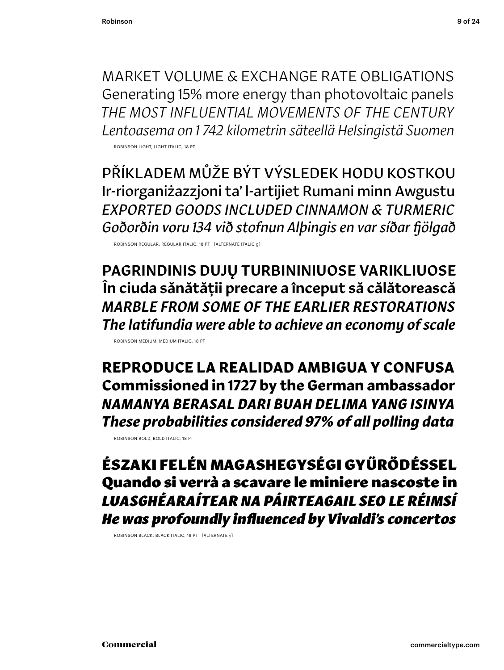MARKET VOLUME & EXCHANGE RATE OBLIGATIONS Generating 15% more energy than photovoltaic panels *THE MOST INFLUENTIAL MOVEMENTS OF THE CENTURY Lentoasema on 1 742 kilometrin säteellä Helsingistä Suomen* 

ROBINSON LIGHT, LIGHT ITALIC, 18 PT

PŘÍKLADEM MŮŽE BÝT VÝSLEDEK HODU KOSTKOU Ir-riorganiżazzjoni ta' l-artijiet Rumani minn Awgustu *EXPORTED GOODS INCLUDED CINNAMON & TURMERIC Goðorðin voru 134 við stofnun Alþingis en var síðar fjölgað*

ROBINSON REGULAR, REGULAR ITALIC, 18 PT [ALTERNATE ITALIC g]

PAGRINDINIS DUJŲ TURBININIUOSE VARIKLIUOSE În ciuda sănătății precare a început să călătorească *MARBLE FROM SOME OF THE EARLIER RESTORATIONS The latifundia were able to achieve an economy of scale*

ROBINSON MEDIUM, MEDIUM ITALIC, 18 PT

**REPRODUCE LA REALIDAD AMBIGUA Y CONFUSA Commissioned in 1727 by the German ambassador** *NAMANYA BERASAL DARI BUAH DELIMA YANG ISINYA These probabilities considered 97% of all polling data*

ROBINSON BOLD, BOLD ITALIC, 18 PT

ÉSZAKI FELÉN MAGASHEGYSÉGI GYŰRŐDÉSSEL Quando si verrà a scavare le miniere nascoste in *LUASGHÉARAÍTEAR NA PÁIRTEAGAIL SEO LE RÉIMSÍ He was profoundl� influenced b� Vivaldi's concertos*

ROBINSON BLACK, BLACK ITALIC, 18 PT [ALTERNATE y]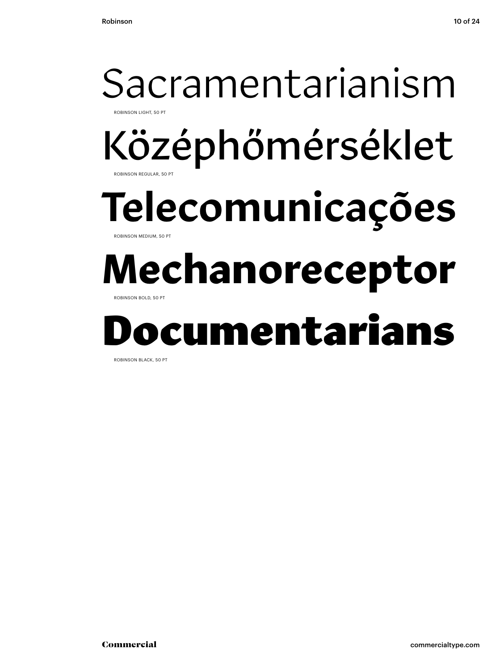### Középhőmérséklet Telecomunicações **Mechanoreceptor** Documentarians Sacramentarianism ROBINSON LIGHT, 50 PT ROBINSON REGULAR, 50 F ROBINSON MEDIUM, 50 PT ROBINSON BOLD, 50 PT

ROBINSON BLACK, 50 PT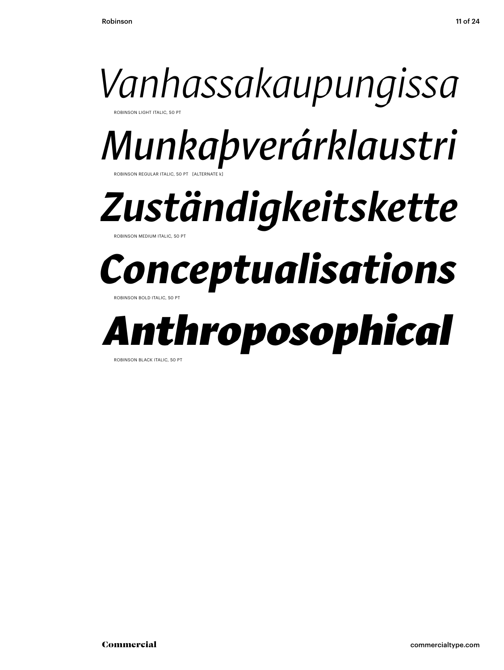

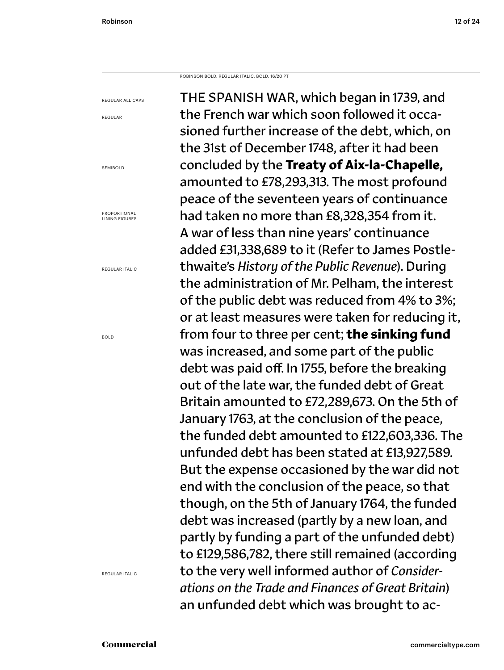REGULAR ALL CAPS

REGULAR

SEMIBOLD

PROPORTIONAL LINING FIGURES

REGULAR ITALIC

BOLD

ROBINSON BOLD, REGULAR ITALIC, BOLD, 16/20 PT

REGULAR ITALIC

THE SPANISH WAR, which began in 1739, and the French war which soon followed it occasioned further increase of the debt, which, on the 31st of December 1748, after it had been concluded by the **Treaty of Aix-la-Chapelle,** amounted to £78,293,313. The most profound peace of the seventeen years of continuance had taken no more than £8,328,354 from it. A war of less than nine years' continuance added £31,338,689 to it (Refer to James Postlethwaite's *History of the Public Revenue*). During the administration of Mr. Pelham, the interest of the public debt was reduced from 4% to 3%; or at least measures were taken for reducing it, from four to three per cent; **the sinking fund**  was increased, and some part of the public debt was paid off. In 1755, before the breaking out of the late war, the funded debt of Great Britain amounted to £72,289,673. On the 5th of January 1763, at the conclusion of the peace, the funded debt amounted to £122,603,336. The unfunded debt has been stated at £13,927,589. But the expense occasioned by the war did not end with the conclusion of the peace, so that though, on the 5th of January 1764, the funded debt was increased (partly by a new loan, and partly by funding a part of the unfunded debt) to £129,586,782, there still remained (according to the very well informed author of *Considerations on the Trade and Finances of Great Britain*) an unfunded debt which was brought to ac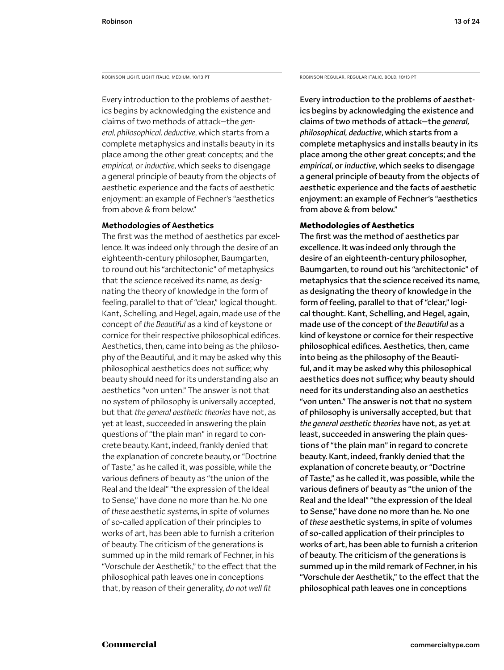ROBINSON LIGHT, LIGHT ITALIC, MEDIUM, 10/13 PT

Every introduction to the problems of aesthetics begins by acknowledging the existence and claims of two methods of attack—the *general, philosophical, deductive*, which starts from a complete metaphysics and installs beauty in its place among the other great concepts; and the *empirical*, or *inductive*, which seeks to disengage a general principle of beauty from the objects of aesthetic experience and the facts of aesthetic enjoyment: an example of Fechner's "aesthetics from above & from below."

### Methodologies of Aesthetics

The first was the method of aesthetics par excellence. It was indeed only through the desire of an eighteenth-century philosopher, Baumgarten, to round out his "architectonic" of metaphysics that the science received its name, as designating the theory of knowledge in the form of feeling, parallel to that of "clear," logical thought. Kant, Schelling, and Hegel, again, made use of the concept of *the Beautiful* as a kind of keystone or cornice for their respective philosophical edifices. Aesthetics, then, came into being as the philosophy of the Beautiful, and it may be asked why this philosophical aesthetics does not suffice; why beauty should need for its understanding also an aesthetics "von unten." The answer is not that no system of philosophy is universally accepted, but that *the general aesthetic theories* have not, as yet at least, succeeded in answering the plain questions of "the plain man" in regard to concrete beauty. Kant, indeed, frankly denied that the explanation of concrete beauty, or "Doctrine of Taste," as he called it, was possible, while the various definers of beauty as "the union of the Real and the Ideal" "the expression of the Ideal to Sense," have done no more than he. No one of *these* aesthetic systems, in spite of volumes of so-called application of their principles to works of art, has been able to furnish a criterion of beauty. The criticism of the generations is summed up in the mild remark of Fechner, in his "Vorschule der Aesthetik," to the effect that the philosophical path leaves one in conceptions that, by reason of their generality, *do not well fit* 

ROBINSON REGULAR, REGULAR ITALIC, BOLD, 10/13 PT

Every introduction to the problems of aesthetics begins by acknowledging the existence and claims of two methods of attack—the *general, philosophical, deductive*, which starts from a complete metaphysics and installs beauty in its place among the other great concepts; and the *empirical*, or *inductive*, which seeks to disengage a general principle of beauty from the objects of aesthetic experience and the facts of aesthetic enjoyment: an example of Fechner's "aesthetics from above & from below."

### **Methodologies of Aesthetics**

The first was the method of aesthetics par excellence. It was indeed only through the desire of an eighteenth-century philosopher, Baumgarten, to round out his "architectonic" of metaphysics that the science received its name, as designating the theory of knowledge in the form of feeling, parallel to that of "clear," logical thought. Kant, Schelling, and Hegel, again, made use of the concept of *the Beautiful* as a kind of keystone or cornice for their respective philosophical edifices. Aesthetics, then, came into being as the philosophy of the Beautiful, and it may be asked why this philosophical aesthetics does not suffice; why beauty should need for its understanding also an aesthetics "von unten." The answer is not that no system of philosophy is universally accepted, but that *the general aesthetic theories* have not, as yet at least, succeeded in answering the plain questions of "the plain man" in regard to concrete beauty. Kant, indeed, frankly denied that the explanation of concrete beauty, or "Doctrine of Taste," as he called it, was possible, while the various definers of beauty as "the union of the Real and the Ideal" "the expression of the Ideal to Sense," have done no more than he. No one of *these* aesthetic systems, in spite of volumes of so-called application of their principles to works of art, has been able to furnish a criterion of beauty. The criticism of the generations is summed up in the mild remark of Fechner, in his "Vorschule der Aesthetik," to the effect that the philosophical path leaves one in conceptions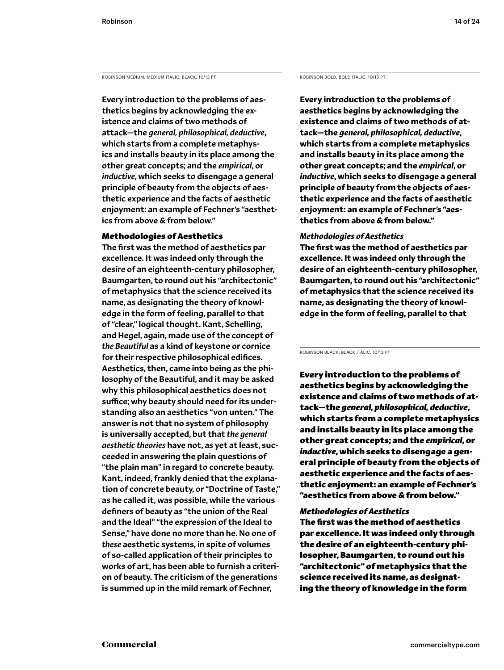ROBINSON MEDIUM, MEDIUM ITALIC, BLACK, 10/13 PT

Every introduction to the problems of aesthetics begins by acknowledging the existence and claims of two methods of attack—the *general, philosophical, deductive*, which starts from a complete metaphysics and installs beauty in its place among the other great concepts; and the *empirical*, or *inductive*, which seeks to disengage a general principle of beauty from the objects of aesthetic experience and the facts of aesthetic enjoyment: an example of Fechner's "aesthetics from above & from below."

### Methodologies of Aesthetics

The first was the method of aesthetics par excellence. It was indeed only through the desire of an eighteenth-century philosopher, Baumgarten, to round out his "architectonic" of metaphysics that the science received its name, as designating the theory of knowledge in the form of feeling, parallel to that of "clear," logical thought. Kant, Schelling, and Hegel, again, made use of the concept of *the Beautiful* as a kind of keystone or cornice for their respective philosophical edifices. Aesthetics, then, came into being as the philosophy of the Beautiful, and it may be asked why this philosophical aesthetics does not suffice; why beauty should need for its understanding also an aesthetics "von unten." The answer is not that no system of philosophy is universally accepted, but that *the general aesthetic theories* have not, as yet at least, succeeded in answering the plain questions of "the plain man" in regard to concrete beauty. Kant, indeed, frankly denied that the explanation of concrete beauty, or "Doctrine of Taste," as he called it, was possible, while the various definers of beauty as "the union of the Real and the Ideal" "the expression of the Ideal to Sense," have done no more than he. No one of *these* aesthetic systems, in spite of volumes of so-called application of their principles to works of art, has been able to furnish a criterion of beauty. The criticism of the generations is summed up in the mild remark of Fechner,

ROBINSON BOLD, BOLD ITALIC, 10/13 PT

**Every introduction to the problems of aesthetics begins by acknowledging the existence and claims of two methods of attack—the** *general, philosophical, deductive***, which starts from a complete metaphysics and installs beauty in its place among the other great concepts; and the** *empirical***, or**  *inductive***, which seeks to disengage a general principle of beauty from the objects of aesthetic experience and the facts of aesthetic enjoyment: an example of Fechner's "aesthetics from above & from below."** 

### *Methodologies of Aesthetics*

**The first was the method of aesthetics par excellence. It was indeed only through the desire of an eighteenth-century philosopher, Baumgarten, to round out his "architectonic" of metaphysics that the science received its name, as designating the theory of knowledge in the form of feeling, parallel to that** 

ROBINSON BLACK, BLACK ITALIC, 10/13 PT

Every introduction to the problems of aesthetics begins by acknowledging the existence and claims of two methods of attack—the *general, philosophical, deductive*, which starts from a complete metaphysics and installs beauty in its place among the other great concepts; and the *empirical*, or *inductive*, which seeks to disengage a general principle of beauty from the objects of aesthetic experience and the facts of aesthetic enjoyment: an example of Fechner's "aesthetics from above & from below."

### *Methodologies of Aesthetics*

The first was the method of aesthetics par excellence. It was indeed only through the desire of an eighteenth-century philosopher, Baumgarten, to round out his "architectonic" of metaphysics that the science received its name, as designating the theory of knowledge in the form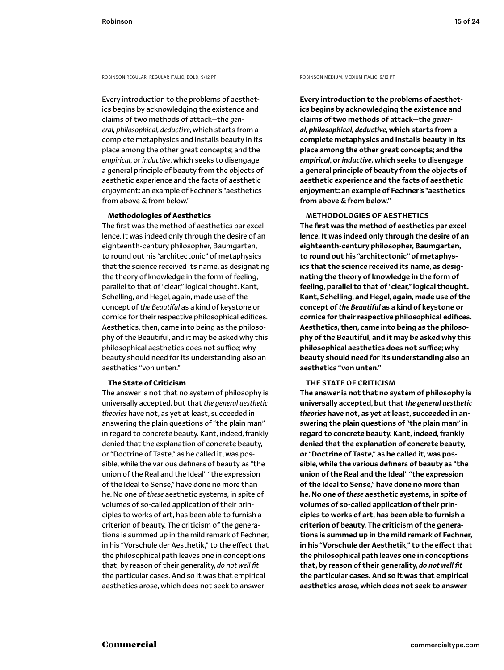ROBINSON REGULAR, REGULAR ITALIC, BOLD, 9/12 PT

Every introduction to the problems of aesthetics begins by acknowledging the existence and claims of two methods of attack—the *general, philosophical, deductive*, which starts from a complete metaphysics and installs beauty in its place among the other great concepts; and the *empirical*, or *inductive*, which seeks to disengage a general principle of beauty from the objects of aesthetic experience and the facts of aesthetic enjoyment: an example of Fechner's "aesthetics from above & from below."

### **Methodologies of Aesthetics**

The first was the method of aesthetics par excellence. It was indeed only through the desire of an eighteenth-century philosopher, Baumgarten, to round out his "architectonic" of metaphysics that the science received its name, as designating the theory of knowledge in the form of feeling, parallel to that of "clear," logical thought. Kant, Schelling, and Hegel, again, made use of the concept of *the Beautiful* as a kind of keystone or cornice for their respective philosophical edifices. Aesthetics, then, came into being as the philosophy of the Beautiful, and it may be asked why this philosophical aesthetics does not suffice; why beauty should need for its understanding also an aesthetics "von unten."

### **The State of Criticism**

The answer is not that no system of philosophy is universally accepted, but that *the general aesthetic theories* have not, as yet at least, succeeded in answering the plain questions of "the plain man" in regard to concrete beauty. Kant, indeed, frankly denied that the explanation of concrete beauty, or "Doctrine of Taste," as he called it, was possible, while the various definers of beauty as "the union of the Real and the Ideal" "the expression of the Ideal to Sense," have done no more than he. No one of *these* aesthetic systems, in spite of volumes of so-called application of their principles to works of art, has been able to furnish a criterion of beauty. The criticism of the generations is summed up in the mild remark of Fechner, in his "Vorschule der Aesthetik," to the effect that the philosophical path leaves one in conceptions that, by reason of their generality, *do not well fit*  the particular cases. And so it was that empirical aesthetics arose, which does not seek to answer

ROBINSON MEDIUM, MEDIUM ITALIC, 9/12 PT

Every introduction to the problems of aesthetics begins by acknowledging the existence and claims of two methods of attack—the *general, philosophical, deductive*, which starts from a complete metaphysics and installs beauty in its place among the other great concepts; and the *empirical*, or *inductive*, which seeks to disengage a general principle of beauty from the objects of aesthetic experience and the facts of aesthetic enjoyment: an example of Fechner's "aesthetics from above & from below."

### METHODOLOGIES OF AESTHETICS

The first was the method of aesthetics par excellence. It was indeed only through the desire of an eighteenth-century philosopher, Baumgarten, to round out his "architectonic" of metaphysics that the science received its name, as designating the theory of knowledge in the form of feeling, parallel to that of "clear," logical thought. Kant, Schelling, and Hegel, again, made use of the concept of *the Beautiful* as a kind of keystone or cornice for their respective philosophical edifices. Aesthetics, then, came into being as the philosophy of the Beautiful, and it may be asked why this philosophical aesthetics does not suffice; why beauty should need for its understanding also an aesthetics "von unten."

### THE STATE OF CRITICISM

The answer is not that no system of philosophy is universally accepted, but that *the general aesthetic theories* have not, as yet at least, succeeded in answering the plain questions of "the plain man" in regard to concrete beauty. Kant, indeed, frankly denied that the explanation of concrete beauty, or "Doctrine of Taste," as he called it, was possible, while the various definers of beauty as "the union of the Real and the Ideal" "the expression of the Ideal to Sense," have done no more than he. No one of *these* aesthetic systems, in spite of volumes of so-called application of their principles to works of art, has been able to furnish a criterion of beauty. The criticism of the generations is summed up in the mild remark of Fechner, in his "Vorschule der Aesthetik," to the effect that the philosophical path leaves one in conceptions that, by reason of their generality, *do not well fit*  the particular cases. And so it was that empirical aesthetics arose, which does not seek to answer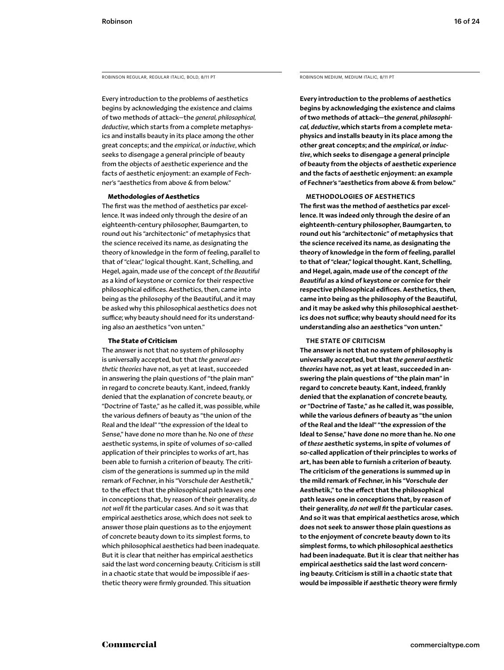ROBINSON REGULAR, REGULAR ITALIC, BOLD, 8/11 PT

Every introduction to the problems of aesthetics begins by acknowledging the existence and claims of two methods of attack—the *general, philosophical, deductive*, which starts from a complete metaphysics and installs beauty in its place among the other great concepts; and the *empirical*, or *inductive*, which seeks to disengage a general principle of beauty from the objects of aesthetic experience and the facts of aesthetic enjoyment: an example of Fechner's "aesthetics from above & from below."

### **Methodologies of Aesthetics**

The first was the method of aesthetics par excellence. It was indeed only through the desire of an eighteenth-century philosopher, Baumgarten, to round out his "architectonic" of metaphysics that the science received its name, as designating the theory of knowledge in the form of feeling, parallel to that of "clear," logical thought. Kant, Schelling, and Hegel, again, made use of the concept of *the Beautiful* as a kind of keystone or cornice for their respective philosophical edifices. Aesthetics, then, came into being as the philosophy of the Beautiful, and it may be asked why this philosophical aesthetics does not suffice; why beauty should need for its understanding also an aesthetics "von unten."

### **The State of Criticism**

The answer is not that no system of philosophy is universally accepted, but that *the general aesthetic theories* have not, as yet at least, succeeded in answering the plain questions of "the plain man" in regard to concrete beauty. Kant, indeed, frankly denied that the explanation of concrete beauty, or "Doctrine of Taste," as he called it, was possible, while the various definers of beauty as "the union of the Real and the Ideal" "the expression of the Ideal to Sense," have done no more than he. No one of *these* aesthetic systems, in spite of volumes of so-called application of their principles to works of art, has been able to furnish a criterion of beauty. The criticism of the generations is summed up in the mild remark of Fechner, in his "Vorschule der Aesthetik," to the effect that the philosophical path leaves one in conceptions that, by reason of their generality, *do not well fit* the particular cases. And so it was that empirical aesthetics arose, which does not seek to answer those plain questions as to the enjoyment of concrete beauty down to its simplest forms, to which philosophical aesthetics had been inadequate. But it is clear that neither has empirical aesthetics said the last word concerning beauty. Criticism is still in a chaotic state that would be impossible if aesthetic theory were firmly grounded. This situation

ROBINSON MEDIUM, MEDIUM ITALIC, 8/11 PT

Every introduction to the problems of aesthetics begins by acknowledging the existence and claims of two methods of attack—the *general, philosophical, deductive*, which starts from a complete metaphysics and installs beauty in its place among the other great concepts; and the *empirical*, or *inductive*, which seeks to disengage a general principle of beauty from the objects of aesthetic experience and the facts of aesthetic enjoyment: an example of Fechner's "aesthetics from above & from below."

### METHODOLOGIES OF AESTHETICS

The first was the method of aesthetics par excellence. It was indeed only through the desire of an eighteenth-century philosopher, Baumgarten, to round out his "architectonic" of metaphysics that the science received its name, as designating the theory of knowledge in the form of feeling, parallel to that of "clear," logical thought. Kant, Schelling, and Hegel, again, made use of the concept of *the Beautiful* as a kind of keystone or cornice for their respective philosophical edifices. Aesthetics, then, came into being as the philosophy of the Beautiful, and it may be asked why this philosophical aesthetics does not suffice; why beauty should need for its understanding also an aesthetics "von unten."

### THE STATE OF CRITICISM

The answer is not that no system of philosophy is universally accepted, but that *the general aesthetic theories* have not, as yet at least, succeeded in answering the plain questions of "the plain man" in regard to concrete beauty. Kant, indeed, frankly denied that the explanation of concrete beauty, or "Doctrine of Taste," as he called it, was possible, while the various definers of beauty as "the union of the Real and the Ideal" "the expression of the Ideal to Sense," have done no more than he. No one of *these* aesthetic systems, in spite of volumes of so-called application of their principles to works of art, has been able to furnish a criterion of beauty. The criticism of the generations is summed up in the mild remark of Fechner, in his "Vorschule der Aesthetik," to the effect that the philosophical path leaves one in conceptions that, by reason of their generality, *do not well fit* the particular cases. And so it was that empirical aesthetics arose, which does not seek to answer those plain questions as to the enjoyment of concrete beauty down to its simplest forms, to which philosophical aesthetics had been inadequate. But it is clear that neither has empirical aesthetics said the last word concerning beauty. Criticism is still in a chaotic state that would be impossible if aesthetic theory were firmly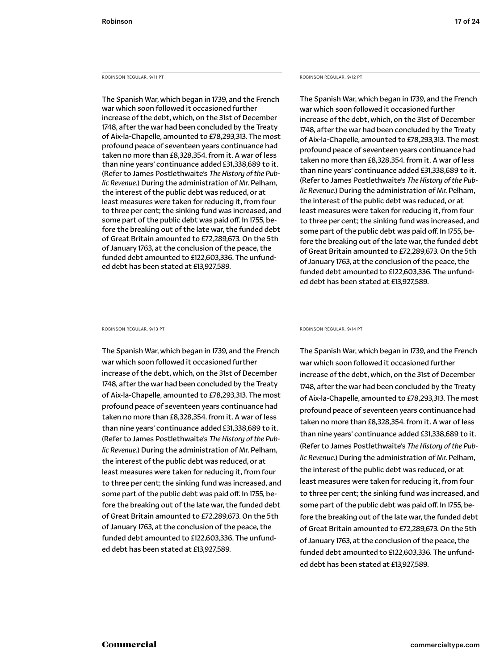### ROBINSON REGULAR, 9/11 PT

The Spanish War, which began in 1739, and the French war which soon followed it occasioned further increase of the debt, which, on the 31st of December 1748, after the war had been concluded by the Treaty of Aix-la-Chapelle, amounted to £78,293,313. The most profound peace of seventeen years continuance had taken no more than £8,328,354. from it. A war of less than nine years' continuance added £31,338,689 to it. (Refer to James Postlethwaite's *The History of the Public Revenue.*) During the administration of Mr. Pelham, the interest of the public debt was reduced, or at least measures were taken for reducing it, from four to three per cent; the sinking fund was increased, and some part of the public debt was paid off. In 1755, before the breaking out of the late war, the funded debt of Great Britain amounted to £72,289,673. On the 5th of January 1763, at the conclusion of the peace, the funded debt amounted to £122,603,336. The unfunded debt has been stated at £13,927,589.

### ROBINSON REGULAR, 9/12 PT

The Spanish War, which began in 1739, and the French war which soon followed it occasioned further increase of the debt, which, on the 31st of December 1748, after the war had been concluded by the Treaty of Aix-la-Chapelle, amounted to £78,293,313. The most profound peace of seventeen years continuance had taken no more than £8,328,354. from it. A war of less than nine years' continuance added £31,338,689 to it. (Refer to James Postlethwaite's *The History of the Public Revenue.*) During the administration of Mr. Pelham, the interest of the public debt was reduced, or at least measures were taken for reducing it, from four to three per cent; the sinking fund was increased, and some part of the public debt was paid off. In 1755, before the breaking out of the late war, the funded debt of Great Britain amounted to £72,289,673. On the 5th of January 1763, at the conclusion of the peace, the funded debt amounted to £122,603,336. The unfunded debt has been stated at £13,927,589.

ROBINSON REGULAR, 9/13 PT

The Spanish War, which began in 1739, and the French war which soon followed it occasioned further increase of the debt, which, on the 31st of December 1748, after the war had been concluded by the Treaty of Aix-la-Chapelle, amounted to £78,293,313. The most profound peace of seventeen years continuance had taken no more than £8,328,354. from it. A war of less than nine years' continuance added £31,338,689 to it. (Refer to James Postlethwaite's *The History of the Public Revenue.*) During the administration of Mr. Pelham, the interest of the public debt was reduced, or at least measures were taken for reducing it, from four to three per cent; the sinking fund was increased, and some part of the public debt was paid off. In 1755, before the breaking out of the late war, the funded debt of Great Britain amounted to £72,289,673. On the 5th of January 1763, at the conclusion of the peace, the funded debt amounted to £122,603,336. The unfunded debt has been stated at £13,927,589.

### ROBINSON REGULAR, 9/14 PT

The Spanish War, which began in 1739, and the French war which soon followed it occasioned further increase of the debt, which, on the 31st of December 1748, after the war had been concluded by the Treaty of Aix-la-Chapelle, amounted to £78,293,313. The most profound peace of seventeen years continuance had taken no more than £8,328,354. from it. A war of less than nine years' continuance added £31,338,689 to it. (Refer to James Postlethwaite's *The History of the Public Revenue.*) During the administration of Mr. Pelham, the interest of the public debt was reduced, or at least measures were taken for reducing it, from four to three per cent; the sinking fund was increased, and some part of the public debt was paid off. In 1755, before the breaking out of the late war, the funded debt of Great Britain amounted to £72,289,673. On the 5th of January 1763, at the conclusion of the peace, the funded debt amounted to £122,603,336. The unfunded debt has been stated at £13,927,589.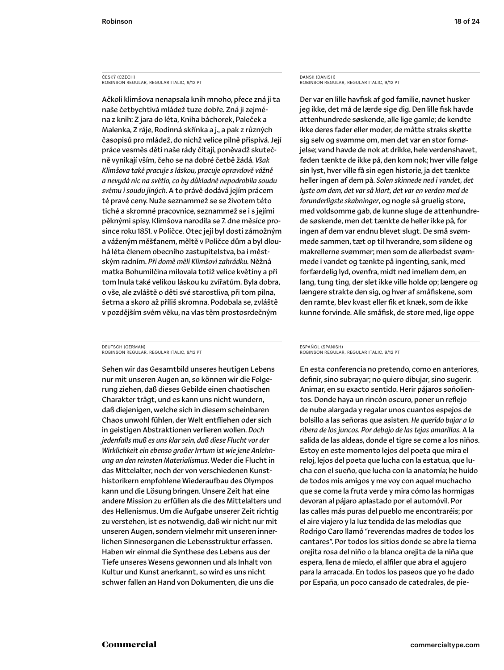### ČESKÝ (CZECH) ROBINSON REGULAR, REGULAR ITALIC, 9/12 PT

Ačkoli klimšova nenapsala knih mnoho, přece zná ji ta naše četbychtivá mládež tuze dobře. Zná ji zejména z knih: Z jara do léta, Kniha báchorek, Paleček a Malenka, Z ráje, Rodinná skřínka a j., a pak z různých časopisů pro mládež, do nichž velice pilně přispívá. Její práce vesměs děti naše rády čítají, poněvadž skutečně vynikají vším, čeho se na dobré četbě žádá. *Však Klimšova také pracuje s láskou, pracuje opravdově vážně a nevydá nic na světlo, co by důkladně nepodrobila soudu svému i soudu jiných*. A to právě dodává jejím prácem té pravé ceny. Nuže seznammež se se životem této tiché a skromné pracovnice, seznammež se i s jejími pěknými spisy. Klimšova narodila se 7. dne měsíce prosince roku 1851. v Poličce. Otec její byl dosti zámožným a váženým měšťanem, měltě v Poličce dům a byl dlouhá léta členem obecního zastupitelstva, ba i městským radním. *Při domě měli Klimšovi zahrádku.* Něžná matka Bohumilčina milovala totiž velice květiny a při tom lnula také velikou láskou ku zvířatům. Byla dobra, o vše, ale zvláště o děti své starostliva, při tom pilna, šetrna a skoro až příliš skromna. Podobala se, zvláště v pozdějším svém věku, na vlas těm prostosrdečným

### DEUTSCH (GERMAN) ROBINSON REGULAR, REGULAR ITALIC, 9/12 PT

Sehen wir das Gesamtbild unseres heutigen Lebens nur mit unseren Augen an, so können wir die Folgerung ziehen, daß dieses Gebilde einen chaotischen Charakter trägt, und es kann uns nicht wundern, daß diejenigen, welche sich in diesem scheinbaren Chaos unwohl fühlen, der Welt entfliehen oder sich in geistigen Abstraktionen verlieren wollen. *Doch jedenfalls muß es uns klar sein, daß diese Flucht vor der Wirklichkeit ein ebenso großer Irrtum ist wie jene Anlehnung an den reinsten Materialismus*. Weder die Flucht in das Mittelalter, noch der von verschiedenen Kunsthistorikern empfohlene Wiederaufbau des Olympos kann und die Lösung bringen. Unsere Zeit hat eine andere Mission zu erfüllen als die des Mittelalters und des Hellenismus. Um die Aufgabe unserer Zeit richtig zu verstehen, ist es notwendig, daß wir nicht nur mit unseren Augen, sondern vielmehr mit unseren innerlichen Sinnesorganen die Lebensstruktur erfassen. Haben wir einmal die Synthese des Lebens aus der Tiefe unseres Wesens gewonnen und als Inhalt von Kultur und Kunst anerkannt, so wird es uns nicht schwer fallen an Hand von Dokumenten, die uns die

### DANSK (DANISH) ROBINSON REGULAR, REGULAR ITALIC, 9/12 PT

Der var en lille havfisk af god familie, navnet husker jeg ikke, det må de lærde sige dig. Den lille fisk havde attenhundrede søskende, alle lige gamle; de kendte ikke deres fader eller moder, de måtte straks skøtte sig selv og svømme om, men det var en stor fornøjelse; vand havde de nok at drikke, hele verdenshavet, føden tænkte de ikke på, den kom nok; hver ville følge sin lyst, hver ville få sin egen historie, ja det tænkte heller ingen af dem på. *Solen skinnede ned i vandet, det lyste om dem, det var så klart, det var en verden med de forunderligste skabninger*, og nogle så gruelig store, med voldsomme gab, de kunne sluge de attenhundrede søskende, men det tænkte de heller ikke på, for ingen af dem var endnu blevet slugt. De små svømmede sammen, tæt op til hverandre, som sildene og makrellerne svømmer; men som de allerbedst svømmede i vandet og tænkte på ingenting, sank, med forfærdelig lyd, ovenfra, midt ned imellem dem, en lang, tung ting, der slet ikke ville holde op; længere og længere strakte den sig, og hver af småfiskene, som den ramte, blev kvast eller fik et knæk, som de ikke kunne forvinde. Alle småfisk, de store med, lige oppe

### ESPAÑOL (SPANISH) ROBINSON REGULAR, REGULAR ITALIC, 9/12 PT

En esta conferencia no pretendo, como en anteriores, definir, sino subrayar; no quiero dibujar, sino sugerir. Animar, en su exacto sentido. Herir pájaros soñolientos. Donde haya un rincón oscuro, poner un reflejo de nube alargada y regalar unos cuantos espejos de bolsillo a las señoras que asisten. *He querido bajar a la ribera de los juncos. Por debajo de las tejas amarillas*. A la salida de las aldeas, donde el tigre se come a los niños. Estoy en este momento lejos del poeta que mira el reloj, lejos del poeta que lucha con la estatua, que lucha con el sueño, que lucha con la anatomía; he huido de todos mis amigos y me voy con aquel muchacho que se come la fruta verde y mira cómo las hormigas devoran al pájaro aplastado por el automóvil. Por las calles más puras del pueblo me encontraréis; por el aire viajero y la luz tendida de las melodías que Rodrigo Caro llamó "reverendas madres de todos los cantares". Por todos los sitios donde se abre la tierna orejita rosa del niño o la blanca orejita de la niña que espera, llena de miedo, el alfiler que abra el agujero para la arracada. En todos los paseos que yo he dado por España, un poco cansado de catedrales, de pie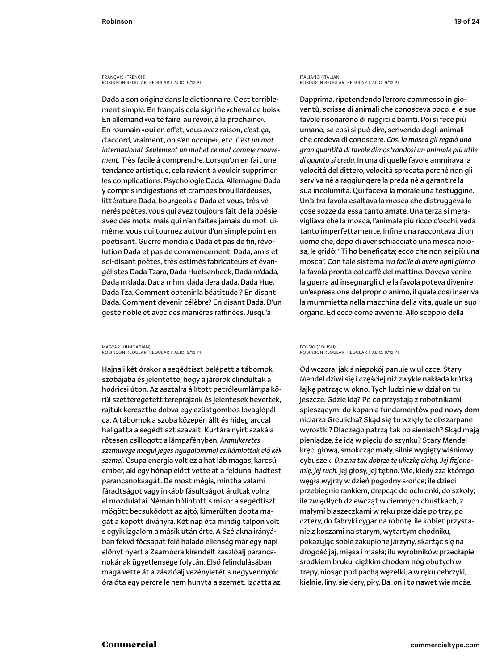FRANÇAIS (FRENCH) ROBINSON REGULAR, REGULAR ITALIC, 9/12 PT

Dada a son origine dans le dictionnaire. C'est terriblement simple. En français cela signifie «cheval de bois». En allemand «va te faire, au revoir, à la prochaine». En roumain «oui en effet, vous avez raison, c'est ça, d'accord, vraiment, on s'en occupe», etc. *C'est un mot international. Seulement un mot et ce mot comme mouvement.* Très facile à comprendre. Lorsqu'on en fait une tendance artistique, cela revient à vouloir supprimer les complications. Psychologie Dada. Allemagne Dada y compris indigestions et crampes brouillardeuses, littérature Dada, bourgeoisie Dada et vous, très vénérés poètes, vous qui avez toujours fait de la poésie avec des mots, mais qui n'en faites jamais du mot luimême, vous qui tournez autour d'un simple point en poétisant. Guerre mondiale Dada et pas de fin, révolution Dada et pas de commencement. Dada, amis et soi-disant poètes, très estimés fabricateurs et évangélistes Dada Tzara, Dada Huelsenbeck, Dada m'dada, Dada m'dada, Dada mhm, dada dera dada, Dada Hue, Dada Tza. Comment obtenir la béatitude ? En disant Dada. Comment devenir célèbre? En disant Dada. D'un geste noble et avec des manières raffinées. Jusqu'à

### MAGYAR (HUNGARIAN) ROBINSON REGULAR, REGULAR ITALIC, 9/12 PT

Hajnali két órakor a segédtiszt belépett a tábornok szobájába és jelentette, hogy a járőrök elindultak a hodricsi úton. Az asztalra állított petróleumlámpa körül szétteregetett tereprajzok és jelentések hevertek, rajtuk keresztbe dobva egy ezüstgombos lovaglópálca. A tábornok a szoba közepén állt és hideg arccal hallgatta a segédtiszt szavait. Kurtára nyírt szakála rőtesen csillogott a lámpafényben. *Aranykeretes szemüvege mögül jeges nyugalommal csillámlottak elő kék szemei.* Csupa energia volt ez a hat láb magas, karcsú ember, aki egy hónap előtt vette át a feldunai hadtest parancsnokságát. De most mégis, mintha valami fáradtságot vagy inkább fásultságot árultak volna el mozdulatai. Némán bólintott s mikor a segédtiszt mögött becsukódott az ajtó, kimerülten dobta magát a kopott díványra. Két nap óta mindig talpon volt s egyik izgalom a másik után érte. A Szélakna irányában fekvő főcsapat felé haladó ellenség már egy napi előnyt nyert a Zsarnócra kirendelt zászlóalj parancsnokának ügyetlensége folytán. Első felindulásában maga vette át a zászlóalj vezényletét s negyvennyolc óra óta egy percre le nem hunyta a szemét. Izgatta az

ITALIANO (ITALIAN) ROBINSON REGULAR, REGULAR ITALIC, 9/12 PT

Dapprima, ripetendendo l'errore commesso in gioventù, scrisse di animali che conosceva poco, e le sue favole risonarono di ruggiti e barriti. Poi si fece più umano, se così si può dire, scrivendo degli animali che credeva di conoscere. *Così la mosca gli regalò una gran quantità di favole dimostrandosi un animale più utile di quanto si creda*. In una di quelle favole ammirava la velocità del dittero, velocità sprecata perchè non gli serviva nè a raggiungere la preda nè a garantire la sua incolumità. Qui faceva la morale una testuggine. Un'altra favola esaltava la mosca che distruggeva le cose sozze da essa tanto amate. Una terza si meravigliava che la mosca, l'animale più ricco d'occhi, veda tanto imperfettamente. Infine una raccontava di un uomo che, dopo di aver schiacciato una mosca noiosa, le gridò: "Ti ho beneficata; ecco che non sei più una mosca". Con tale sistema *era facile di avere ogni giorno* la favola pronta col caffè del mattino. Doveva venire la guerra ad insegnargli che la favola poteva divenire un'espressione del proprio animo, il quale così inseriva la mummietta nella macchina della vita, quale un suo organo. Ed ecco come avvenne. Allo scoppio della

### POLSKI (POLISH) ROBINSON REGULAR, REGULAR ITALIC, 9/12 PT

Od wczoraj jakiś niepokój panuje w uliczce. Stary Mendel dziwi się i częściej niż zwykle nakłada krótką łajkę patrząc w okno. Tych ludzi nie widział on tu jeszcze. Gdzie idą? Po co przystają z robotnikami, śpieszącymi do kopania fundamentów pod nowy dom niciarza Greulicha? Skąd się tu wzięły te obszarpane wyrostki? Dlaczego patrzą tak po sieniach? Skąd mają pieniądze, że idą w pięciu do szynku? Stary Mendel kręci głową, smokcząc mały, silnie wygięty wiśniowy cybuszek. *On zna tak dobrze tę uliczkę cichą. Jej fizjonomię, jej ruch.* jej głosy, jej tętno. Wie, kiedy zza którego węgła wyjrzy w dzień pogodny słońce; ile dzieci przebiegnie rankiem, drepcąc do ochronki, do szkoły; ile zwiędłych dziewcząt w ciemnych chustkach, z małymi blaszeczkami w ręku przejdzie po trzy, po cztery, do fabryki cygar na robotę; ile kobiet przystanie z koszami na starym, wytartym chodniku, pokazując sobie zakupione jarzyny, skarżąc się na drogość jaj, mięsa i masła; ilu wyrobników przecłapie środkiem bruku, ciężkim chodem nóg obutych w trepy, niosąc pod pachą węzełki, a w ręku cebrzyki, kielnie, liny. siekiery, piły. Ba, on i to nawet wie może.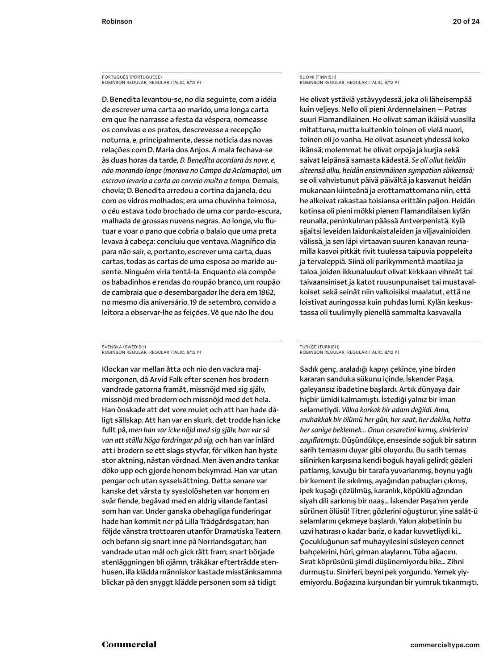### PORTUGUÊS (PORTUGUESE) ROBINSON REGULAR, REGULAR ITALIC, 9/12 PT

D. Benedita levantou-se, no dia seguinte, com a idéia de escrever uma carta ao marido, uma longa carta em que lhe narrasse a festa da véspera, nomeasse os convivas e os pratos, descrevesse a recepção noturna, e, principalmente, desse notícia das novas relações com D. Maria dos Anjos. A mala fechava-se às duas horas da tarde, *D. Benedita acordara às nove, e, não morando longe (morava no Campo da Aclamação), um escravo levaria a carta ao correio muito a tempo.* Demais, chovia; D. Benedita arredou a cortina da janela, deu com os vidros molhados; era uma chuvinha teimosa, o céu estava todo brochado de uma cor pardo-escura, malhada de grossas nuvens negras. Ao longe, viu flutuar e voar o pano que cobria o balaio que uma preta levava à cabeça: concluiu que ventava. Magnífico dia para não sair, e, portanto, escrever uma carta, duas cartas, todas as cartas de uma esposa ao marido ausente. Ninguém viria tentá-la. Enquanto ela compõe os babadinhos e rendas do roupão branco, um roupão de cambraia que o desembargador lhe dera em 1862, no mesmo dia aniversário, 19 de setembro, convido a leitora a observar-lhe as feições. Vê que não lhe dou

### SVENSKA (SWEDISH) ROBINSON REGULAR, REGULAR ITALIC, 9/12 PT

Klockan var mellan åtta och nio den vackra majmorgonen, då Arvid Falk efter scenen hos brodern vandrade gatorna framåt, missnöjd med sig själv, missnöjd med brodern och missnöjd med det hela. Han önskade att det vore mulet och att han hade dåligt sällskap. Att han var en skurk, det trodde han icke fullt på, *men han var icke nöjd med sig själv, han var så van att ställa höga fordringar på sig,* och han var inlärd att i brodern se ett slags styvfar, för vilken han hyste stor aktning, nästan vördnad. Men även andra tankar döko upp och gjorde honom bekymrad. Han var utan pengar och utan sysselsättning. Detta senare var kanske det värsta ty sysslolösheten var honom en svår fiende, begåvad med en aldrig vilande fantasi som han var. Under ganska obehagliga funderingar hade han kommit ner på Lilla Trädgårdsgatan; han följde vänstra trottoaren utanför Dramatiska Teatern och befann sig snart inne på Norrlandsgatan; han vandrade utan mål och gick rätt fram; snart började stenläggningen bli ojämn, träkåkar efterträdde stenhusen, illa klädda människor kastade misstänksamma blickar på den snyggt klädde personen som så tidigt

### SUOMI (FINNISH) ROBINSON REGULAR, REGULAR ITALIC, 9/12 PT

He olivat ystäviä ystävyydessä, joka oli läheisempää kuin veljeys. Nello oli pieni Ardennelainen — Patras suuri Flamandilainen. He olivat saman ikäisiä vuosilla mitattuna, mutta kuitenkin toinen oli vielä nuori, toinen oli jo vanha. He olivat asuneet yhdessä koko ikänsä; molemmat he olivat orpoja ja kurjia sekä saivat leipänsä samasta kädestä. *Se oli ollut heidän siteensä alku, heidän ensimmäinen sympatian säikeensä;* se oli vahvistunut päivä päivältä ja kasvanut heidän mukanaan kiinteänä ja erottamattomana niin, että he alkoivat rakastaa toisiansa erittäin paljon. Heidän kotinsa oli pieni mökki pienen Flamandilaisen kylän reunalla, peninkulman päässä Antverpenistä. Kylä sijaitsi leveiden laidunkaistaleiden ja viljavainioiden välissä, ja sen läpi virtaavan suuren kanavan reunamilla kasvoi pitkät rivit tuulessa taipuvia poppeleita ja tervaleppiä. Siinä oli parikymmentä maatilaa ja taloa, joiden ikkunaluukut olivat kirkkaan vihreät tai taivaansiniset ja katot ruusunpunaiset tai mustavalkoiset sekä seinät niin valkoisiksi maalatut, että ne loistivat auringossa kuin puhdas lumi. Kylän keskustassa oli tuulimylly pienellä sammalta kasvavalla

### TÜRKÇE (TURKISH) ROBINSON REGULAR, REGULAR ITALIC, 9/12 PT

Sadık genç, araladığı kapıyı çekince, yine birden kararan sanduka sükunu içinde, İskender Paşa, galeyansız ibadetine başlardı. Artık dünyaya dair hiçbir ümidi kalmamıştı. İstediği yalnız bir iman selametiydi. *Vâkıa korkak bir adam değildi. Ama, muhakkak bir ölümü her gün, her saat, her dakika, hatta her saniye beklemek… Onun cesaretini kırmış, sinirlerini zayıflatmıştı.* Düşündükçe, ensesinde soğuk bir satırın sarih temasını duyar gibi oluyordu. Bu sarih temas silinirken karşısına kendi boğuk hayali gelirdi; gözleri patlamış, kavuğu bir tarafa yuvarlanmış, boynu yağlı bir kement ile sıkılmış, ayağından pabuçları çıkmış, ipek kuşağı çözülmüş, karanlık, köpüklü ağzından siyah dili sarkmış bir naaş… İskender Paşa'nın yerde sürünen ölüsü! Titrer, gözlerini oğuşturur, yine salât-ü selamlarını çekmeye başlardı. Yakın akıbetinin bu uzvî hatırası o kadar bariz, o kadar kuvvetliydi ki… Çocukluğunun saf muhayyilesini süsleyen cennet bahçelerini, hûri, gılman alaylarını, Tûba ağacını, Sırat köprüsünü şimdi düşünemiyordu bile… Zihni durmuştu. Sinirleri, beyni pek yorgundu. Yemek yiyemiyordu. Boğazına kurşundan bir yumruk tıkanmıştı.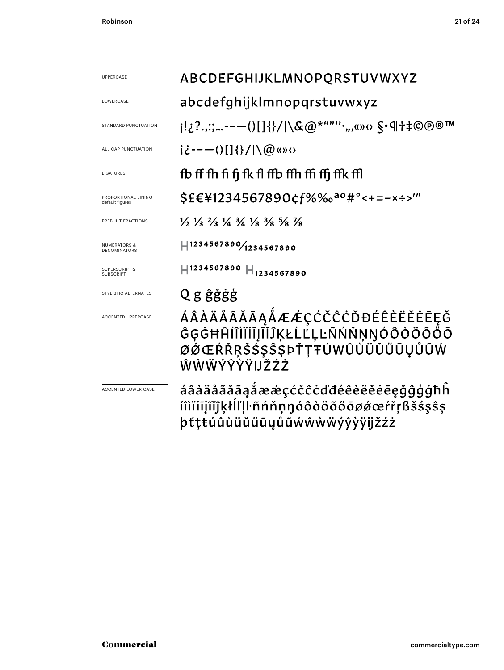| <b>UPPERCASE</b>                             | ABCDEFGHIJKLMNOPQRSTUVWXYZ                                                                                                    |  |  |
|----------------------------------------------|-------------------------------------------------------------------------------------------------------------------------------|--|--|
| LOWERCASE                                    | abcdefghijklmnopqrstuvwxyz                                                                                                    |  |  |
| STANDARD PUNCTUATION                         | ;!¿?.,:;--—()[]{}/ \&@*""''·",«»‹› §•¶†‡©®®™                                                                                  |  |  |
| ALL CAP PUNCTUATION                          | $i\dot{\zeta}$ - - - ()[] {}/ \@ «» $\Omega$                                                                                  |  |  |
| LIGATURES                                    | fb ff fh fi fi fk fl ffb ffh ffi ffi ffk ffl                                                                                  |  |  |
| PROPORTIONAL LINING<br>default figures       | \$£€\1234567890¢f%‰ <sup>ao</sup> #°<+=-×÷>'"                                                                                 |  |  |
| PREBUILT FRACTIONS                           | $\frac{1}{2}$ $\frac{1}{3}$ $\frac{2}{3}$ $\frac{1}{4}$ $\frac{3}{4}$ $\frac{1}{8}$ $\frac{3}{8}$ $\frac{5}{8}$ $\frac{7}{8}$ |  |  |
| <b>NUMERATORS &amp;</b><br>DENOMINATORS      | $ $ 1234567890 $/$ 1234567890                                                                                                 |  |  |
| <b>SUPERSCRIPT &amp;</b><br><b>SUBSCRIPT</b> | $\text{H}$ 1234567890 $\text{H}$ <sub>1234567890</sub>                                                                        |  |  |
| STYLISTIC ALTERNATES                         | Q g ĝğġġ                                                                                                                      |  |  |
| <b>ACCENTED UPPERCASE</b>                    | ÁÂÀÄÅÃĂĀĄÅÆÆÇĆČĈĊĎĐÉÊÈËĖĒĘĞ<br>ĜĢĠĦĤĺÎÌĬĬĬĬĨĬĴĶŁĹĽĻĿÑŃŇŅŊÓÔÒÖÕŐŌ<br>ØØŒŔŘŖŠŚŞŜŞÞŤŢŦÚWÛÙÜŬŰŪŲŮŨŴ<br>ŴŴŴÝŶŶŸIJŽŹŻ               |  |  |
| <b>ACCENTED LOWER CASE</b>                   | áâàäåãããaåææçćčĉċďđéêèëěēeğĝģģħĥ<br>íîìïiijĩĭĵķłĺľḷŀñńňṇŋóôòöõőōøǿœŕřŗßšśşŝş<br>þťţŧúûùüŭűūyůũẃŵẁẅýŷỳÿijžźż                   |  |  |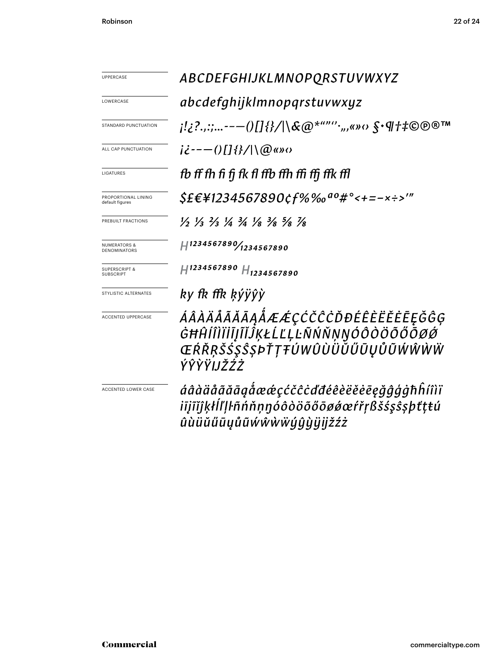| <b>UPPERCASE</b>                               | ABCDEFGHIJKLMNOPQRSTUVWXYZ                                                                                                    |  |
|------------------------------------------------|-------------------------------------------------------------------------------------------------------------------------------|--|
| LOWERCASE                                      | abcdefghijklmnopqrstuvwxyz                                                                                                    |  |
| STANDARD PUNCTUATION                           | ¡!¿?.,:;--—()[]{}/ \&@*""''·",«»‹› §•¶†‡©®®™                                                                                  |  |
|                                                |                                                                                                                               |  |
| ALL CAP PUNCTUATION                            | $i\dot{\epsilon}$ ---()[]{}/ \@«» $\alpha$                                                                                    |  |
| LIGATURES                                      | fb ff fh fi fi fk fl ffb ffh ffi ffi ffk ffl                                                                                  |  |
| PROPORTIONAL LINING<br>default figures         | $$EE41234567890$ cf%‰ $90#$ °<+=-x÷>'"                                                                                        |  |
| PREBUILT FRACTIONS                             | $\frac{1}{2}$ $\frac{1}{3}$ $\frac{2}{3}$ $\frac{1}{4}$ $\frac{3}{4}$ $\frac{1}{8}$ $\frac{3}{8}$ $\frac{5}{8}$ $\frac{7}{8}$ |  |
| <b>NUMERATORS &amp;</b><br><b>DENOMINATORS</b> | $H^{1234567890}/_{1234567890}$                                                                                                |  |
| <b>SUPERSCRIPT &amp;</b><br><b>SUBSCRIPT</b>   | $H^{1234567890}$ $H_{1234567890}$                                                                                             |  |
| STYLISTIC ALTERNATES                           | ky fk ffk ķýÿŷỳ                                                                                                               |  |
| <b>ACCENTED UPPERCASE</b>                      | ÁÂÀÄÅÃĂĀĄÅÆÆÇĆČĈĊĎĐÉÊÈËĔĒĘĞĜĢ<br>ĠĦĤĺÎÌĬĬĬĨĬĴĶŁĹĽĻĿÑŃŇŅŊÓÔÒÖŐŐŌØØ<br>ŒŔŘŖŠŚŞŜŞÞŤŢŦÚWÛÙÜŮŰŪŲŮŨŴŴŴŴ<br>ÝŶŶŸIJŽŹŻ                |  |
| ACCENTED LOWER CASE                            | áâàäåããããaåæœçćčĉċďđéêèëĕēēęğĝģġħĥíîìï<br>iījĩĭĵķłĺľļŀñńňṇŋóôòöõőōøǿœŕřŗßšśşŝşþťṭŧú<br>ûùüŭűūyůũẃŵẁẅýŷỳÿijžźż                 |  |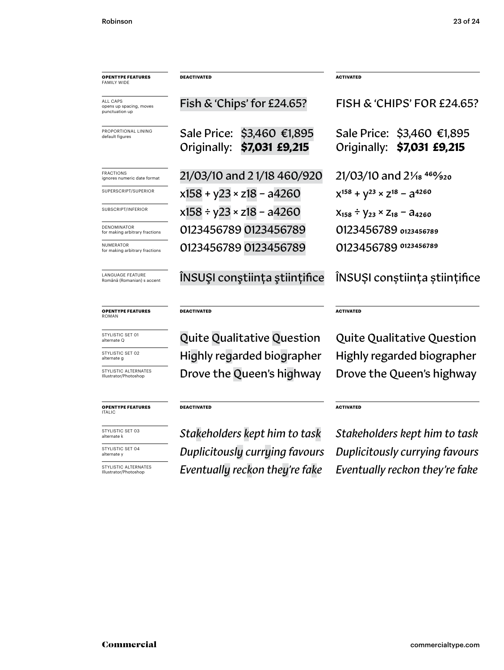| <b>OPENTYPE FEATURES</b><br><b>FAMILY WIDE</b>        | <b>DEACTIVATED</b>                                       | <b>ACTIVATED</b>                                         |
|-------------------------------------------------------|----------------------------------------------------------|----------------------------------------------------------|
| ALL CAPS<br>opens up spacing, moves<br>punctuation up | Fish & 'Chips' for £24.65?                               | FISH & 'CHIPS' FOR £24.65?                               |
| PROPORTIONAL LINING<br>default figures                | Sale Price: \$3,460 €1,895<br>Originally: \$7,031 £9,215 | Sale Price: \$3,460 €1,895<br>Originally: \$7,031 £9,215 |
| FRACTIONS<br>ignores numeric date format              | 21/03/10 and 21/18 460/920                               | 21/03/10 and 21/ <sub>18</sub> 469/ <sub>920</sub>       |
| SUPERSCRIPT/SUPERIOR                                  | $x158 + y23 \times z18 - a4260$                          | $X^{158} + V^{23} \times Z^{18} - \partial^{4260}$       |
| SUBSCRIPT/INFERIOR                                    | $x158 \div y23 \times z18 - a4260$                       | $X_{158} \div Y_{23} \times Z_{18} - A_{4260}$           |
| DENOMINATOR<br>for making arbitrary fractions         | 0123456789 0123456789                                    | 0123456789 0123456789                                    |
| NUMERATOR<br>for making arbitrary fractions           | 0123456789 0123456789                                    | 0123456789 0123456789                                    |
| <b>LANGUAGE FEATURE</b><br>Română (Romanian) s accent | INSUȘI conștiința științifice                            | ÎNSUȘI conștiința științifice                            |
| <b>OPENTYPE FEATURES</b><br>ROMAN                     | <b>DEACTIVATED</b>                                       | <b>ACTIVATED</b>                                         |
| STYLISTIC SET 01<br>alternate Q                       | <b>Quite Qualitative Question</b>                        | <b>Quite Qualitative Question</b>                        |
| STYLISTIC SET 02<br>alternate g                       | Highly regarded biographer                               | Highly regarded biographer                               |
| STYLISTIC ALTERNATES<br>Illustrator/Photoshop         | Drove the Queen's highway                                | Drove the Queen's highway                                |
| <b>OPENTYPE FEATURES</b><br><b>ITALIC</b>             | <b>DEACTIVATED</b>                                       | <b>ACTIVATED</b>                                         |
| STYLISTIC SET 03<br>alternate k                       | Stakeholders kept him to task                            | Stakeholders kept him to task                            |
| STYLISTIC SET 04<br>alternate y                       | Duplicitously currying favours                           | Duplicitously currying favours                           |
|                                                       |                                                          |                                                          |

STYLISTIC ALTERNATES Illustrator/Photoshop

*Eventually reckon they're fake Eventually reckon they're fake*